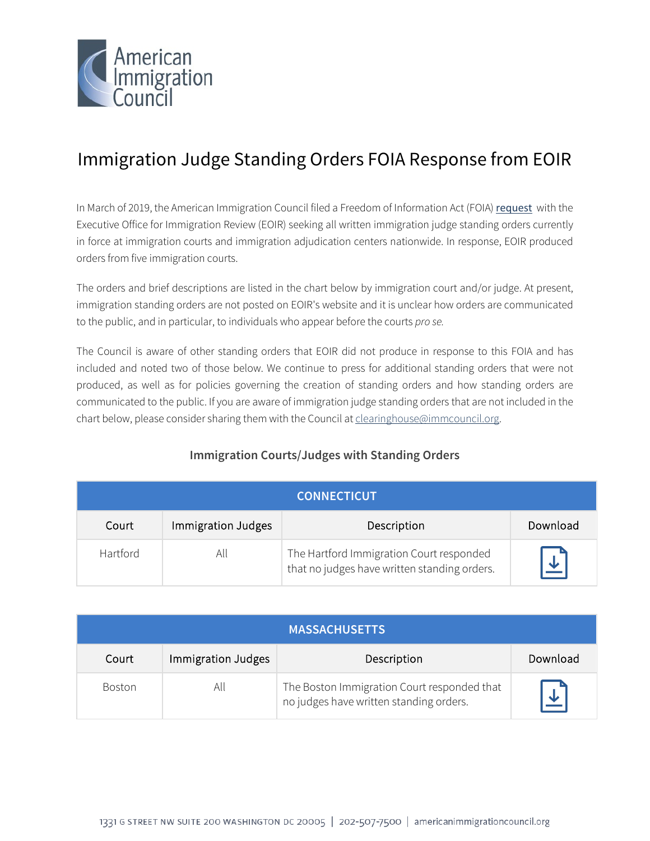

## Immigration Judge Standing Orders FOIA Response from EOIR

In March of 2019, the American Immigration Council filed a Freedom of Information Act (FOIA) [request](https://www.americanimmigrationcouncil.org/foia/request-seeks-all-immigration-judge-standing-orders) with the Executive Office for Immigration Review (EOIR) seeking all written immigration judge standing orders currently in force at immigration courts and immigration adjudication centers nationwide. In response, EOIR produced orders from five immigration courts.

The orders and brief descriptions are listed in the chart below by immigration court and/or judge. At present, immigration standing orders are not posted on EOIR's website and it is unclear how orders are communicated to the public, and in particular, to individuals who appear before the courts *pro se.*

The Council is aware of other standing orders that EOIR did not produce in response to this FOIA and has included and noted two of those below. We continue to press for additional standing orders that were not produced, as well as for policies governing the creation of standing orders and how standing orders are communicated to the public. If you are aware of immigration judge standing orders that are not included in the chart below, please consider sharing them with the Council at clearinghouse@immcouncil.org.

## **Immigration Courts/Judges with Standing Orders**

| <b>CONNECTICUT</b> |                    |                                                                                          |                |
|--------------------|--------------------|------------------------------------------------------------------------------------------|----------------|
| Court              | Immigration Judges | Description                                                                              | Download       |
| Hartford           | All                | The Hartford Immigration Court responded<br>that no judges have written standing orders. | $\overline{r}$ |

| <b>MASSACHUSETTS</b> |                    |                                                                                        |              |
|----------------------|--------------------|----------------------------------------------------------------------------------------|--------------|
| Court                | Immigration Judges | Description                                                                            | Download     |
| Boston               | All                | The Boston Immigration Court responded that<br>no judges have written standing orders. | $\downarrow$ |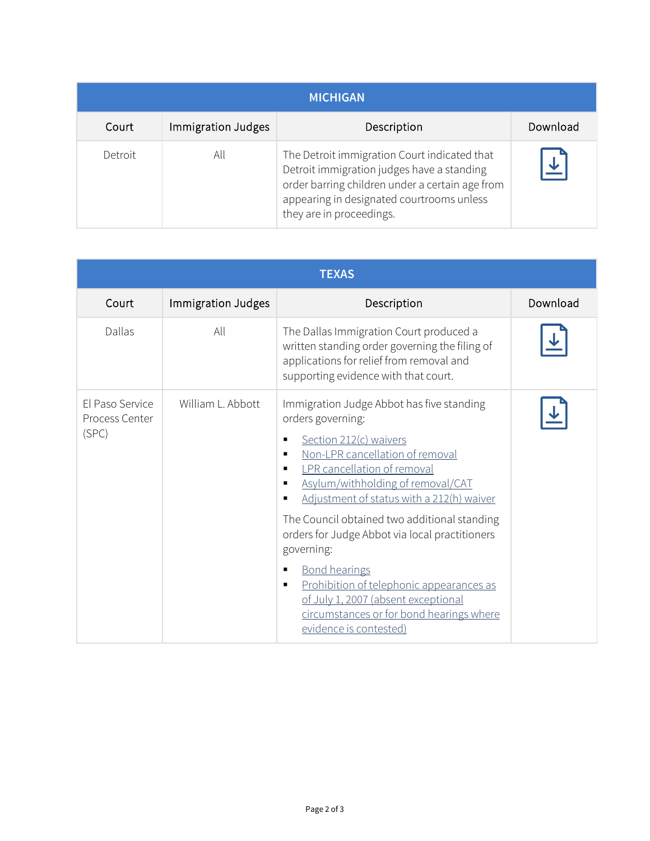| <b>MICHIGAN</b> |                    |                                                                                                                                                                                                                        |                         |
|-----------------|--------------------|------------------------------------------------------------------------------------------------------------------------------------------------------------------------------------------------------------------------|-------------------------|
| Court           | Immigration Judges | Description                                                                                                                                                                                                            | Download                |
| Detroit         | All                | The Detroit immigration Court indicated that<br>Detroit immigration judges have a standing<br>order barring children under a certain age from<br>appearing in designated courtrooms unless<br>they are in proceedings. | $\overline{\mathbf{r}}$ |

| <b>TEXAS</b>                               |                    |                                                                                                                                                                                                                                                                                                                                                                                                                                                                                                                                                                                                               |          |
|--------------------------------------------|--------------------|---------------------------------------------------------------------------------------------------------------------------------------------------------------------------------------------------------------------------------------------------------------------------------------------------------------------------------------------------------------------------------------------------------------------------------------------------------------------------------------------------------------------------------------------------------------------------------------------------------------|----------|
| Court                                      | Immigration Judges | Description                                                                                                                                                                                                                                                                                                                                                                                                                                                                                                                                                                                                   | Download |
| Dallas                                     | All                | The Dallas Immigration Court produced a<br>written standing order governing the filing of<br>applications for relief from removal and<br>supporting evidence with that court.                                                                                                                                                                                                                                                                                                                                                                                                                                 |          |
| El Paso Service<br>Process Center<br>(SPC) | William L. Abbott  | Immigration Judge Abbot has five standing<br>orders governing:<br>Section 212(c) waivers<br>$\blacksquare$<br>Non-LPR cancellation of removal<br>$\blacksquare$<br>LPR cancellation of removal<br>Asylum/withholding of removal/CAT<br>п<br>Adjustment of status with a 212(h) waiver<br>The Council obtained two additional standing<br>orders for Judge Abbot via local practitioners<br>governing:<br><b>Bond hearings</b><br>■<br>Prohibition of telephonic appearances as<br>$\blacksquare$<br>of July 1, 2007 (absent exceptional<br>circumstances or for bond hearings where<br>evidence is contested) |          |